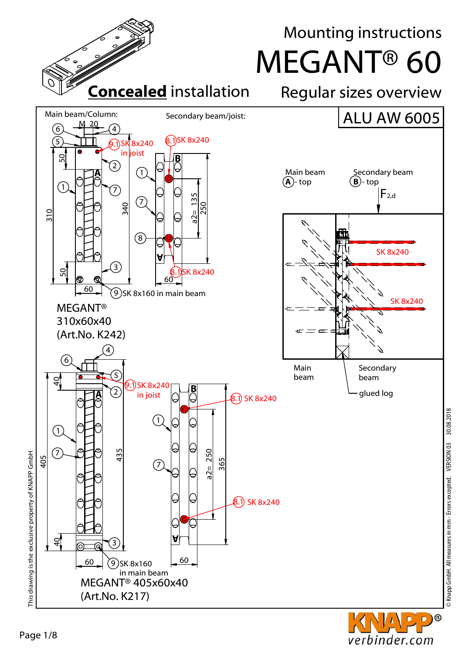

**O** D

verbinder.com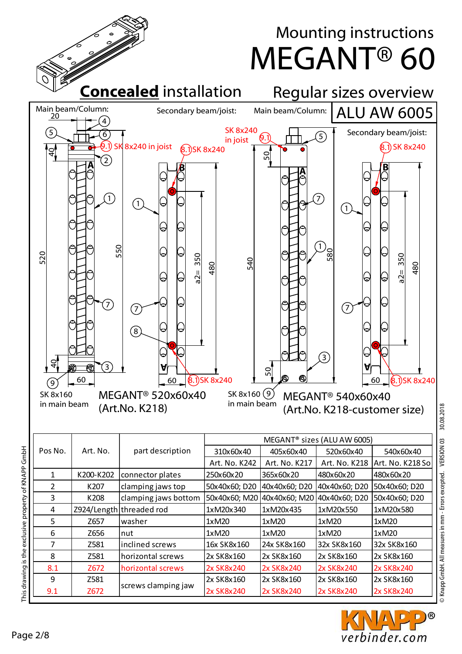

8 | 2581 | horizontal screws | 2x SK8x160 | 2x SK8x160 | 2x SK8x160 | 2x SK8x160 8.1 Z672 horizontal screws 2x SK8x240 2x SK8x240 2x SK8x240 2x SK8x240

> 2x SK8x160 2x SK8x240

2x SK8x160 2x SK8x240

2x SK8x240

screws clamping jaw  $\begin{bmatrix} 2x & 5k & 8k & 160 \\ 2x & 5k & 8k & 160 \end{bmatrix}$ 

Knapp GmbH. All measures in mm - Errors excepted. VERSION 03 30.08.2018 © Knapp GmbH. All measures in mm - Errors excepted. VERSION 03 30.08.2018



2x SK8x160 2x SK8x240

his drawing is the exclusive property of KNAPP GmbH

9 9.1 Z581 Z672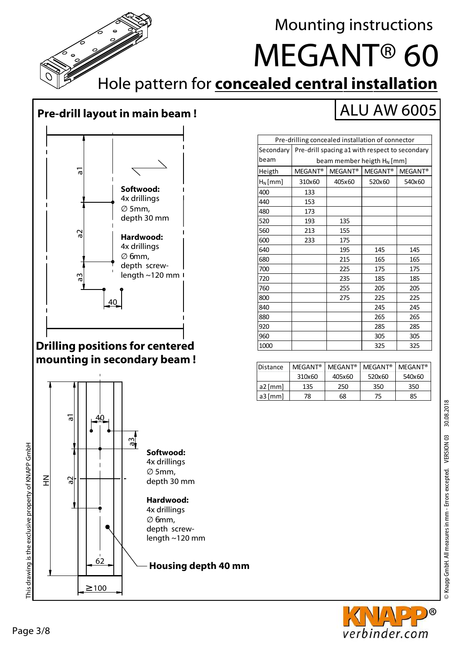a1

Mounting instructions

# MEGANT® 60

ALU AW 6005

Hole pattern for **concealed central installation**

#### **Pre-drill layout in main beam !**



#### **Drilling positions for centered mounting in secondary beam !**



| Pre-drilling concealed installation of connector |                                                |                     |                     |                     |  |  |
|--------------------------------------------------|------------------------------------------------|---------------------|---------------------|---------------------|--|--|
| Secondary                                        | Pre-drill spacing a1 with respect to secondary |                     |                     |                     |  |  |
| beam                                             | beam member heigth H <sub>N</sub> [mm]         |                     |                     |                     |  |  |
| Heigth                                           | MEGANT <sup>®</sup>                            | MEGANT <sup>®</sup> | MEGANT <sup>®</sup> | MEGANT <sup>®</sup> |  |  |
| $H_N$ [mm]                                       | 310×60                                         | 405×60              | 520×60              | 540×60              |  |  |
| 400                                              | 133                                            |                     |                     |                     |  |  |
| 440                                              | 153                                            |                     |                     |                     |  |  |
| 480                                              | 173                                            |                     |                     |                     |  |  |
| 520                                              | 193                                            | 135                 |                     |                     |  |  |
| 560                                              | 213                                            | 155                 |                     |                     |  |  |
| 600                                              | 233                                            | 175                 |                     |                     |  |  |
| 640                                              |                                                | 195                 | 145                 | 145                 |  |  |
| 680                                              |                                                | 215                 | 165                 | 165                 |  |  |
| 700                                              |                                                | 225                 | 175                 | 175                 |  |  |
| 720                                              |                                                | 235                 | 185                 | 185                 |  |  |
| 760                                              |                                                | 255                 | 205                 | 205                 |  |  |
| 800                                              |                                                | 275                 | 225                 | 225                 |  |  |
| 840                                              |                                                |                     | 245                 | 245                 |  |  |
| 880                                              |                                                |                     | 265                 | 265                 |  |  |
| 920                                              |                                                |                     | 285                 | 285                 |  |  |
| 960                                              |                                                |                     | 305                 | 305                 |  |  |
| 1000                                             |                                                |                     | 325                 | 325                 |  |  |

| <b>IDistance</b> | MFGANT <sup>®</sup> | MFGANT <sup>®</sup> | MFGANT <sup>®</sup> | $MFGANT^*$ |
|------------------|---------------------|---------------------|---------------------|------------|
|                  | 310x60              | 405x60              | 520x60              | 540x60     |
| a2 [mm]          | 135                 | 250                 | 350                 | 350        |
| $a3$ [mm]        | 78                  | 68                  | 75                  | 85         |

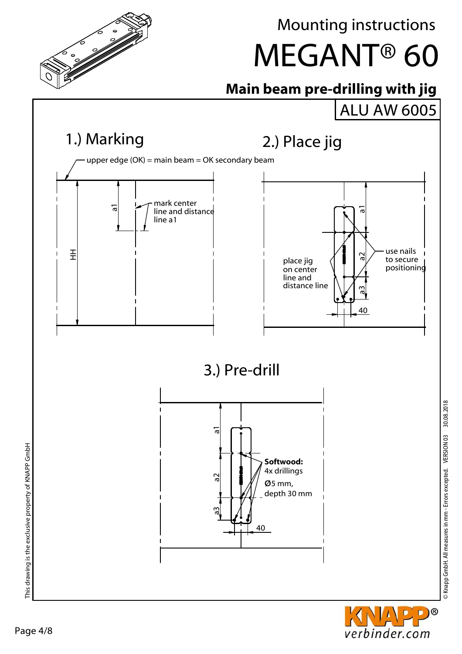

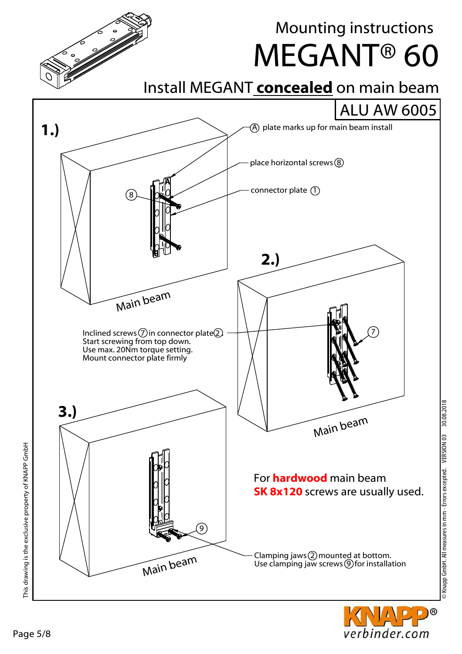



Mounting instructions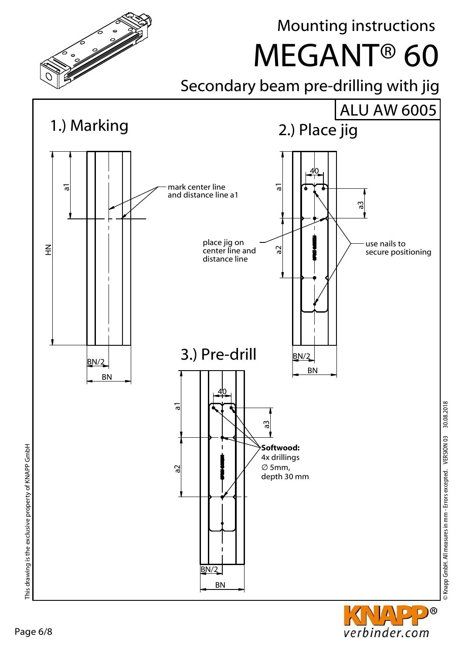

© Knapp GmbH. All measures in mm - Errors excepted. VERSION 03 30.08.2018

verbinder.com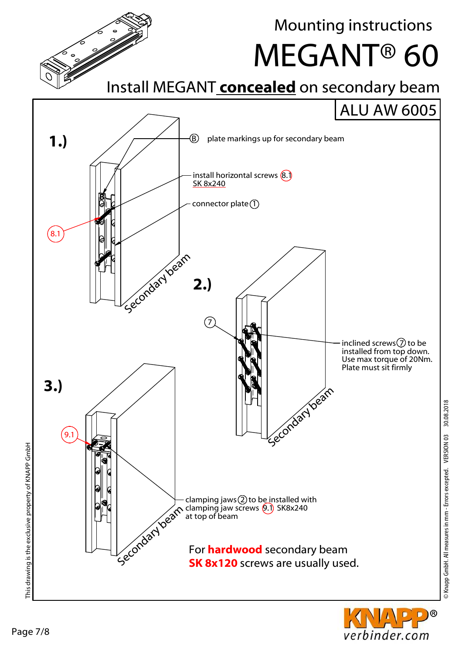